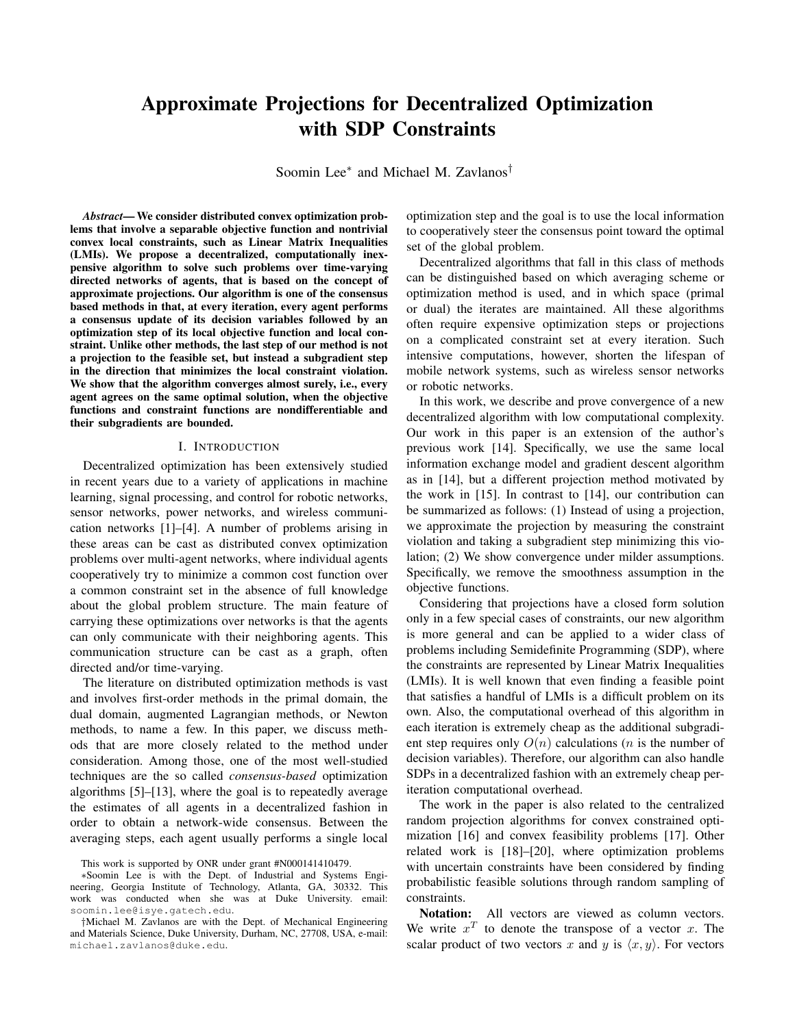# Approximate Projections for Decentralized Optimization with SDP Constraints

Soomin Lee<sup>∗</sup> and Michael M. Zavlanos<sup>†</sup>

*Abstract*— We consider distributed convex optimization problems that involve a separable objective function and nontrivial convex local constraints, such as Linear Matrix Inequalities (LMIs). We propose a decentralized, computationally inexpensive algorithm to solve such problems over time-varying directed networks of agents, that is based on the concept of approximate projections. Our algorithm is one of the consensus based methods in that, at every iteration, every agent performs a consensus update of its decision variables followed by an optimization step of its local objective function and local constraint. Unlike other methods, the last step of our method is not a projection to the feasible set, but instead a subgradient step in the direction that minimizes the local constraint violation. We show that the algorithm converges almost surely, i.e., every agent agrees on the same optimal solution, when the objective functions and constraint functions are nondifferentiable and their subgradients are bounded.

### I. INTRODUCTION

Decentralized optimization has been extensively studied in recent years due to a variety of applications in machine learning, signal processing, and control for robotic networks, sensor networks, power networks, and wireless communication networks [1]–[4]. A number of problems arising in these areas can be cast as distributed convex optimization problems over multi-agent networks, where individual agents cooperatively try to minimize a common cost function over a common constraint set in the absence of full knowledge about the global problem structure. The main feature of carrying these optimizations over networks is that the agents can only communicate with their neighboring agents. This communication structure can be cast as a graph, often directed and/or time-varying.

The literature on distributed optimization methods is vast and involves first-order methods in the primal domain, the dual domain, augmented Lagrangian methods, or Newton methods, to name a few. In this paper, we discuss methods that are more closely related to the method under consideration. Among those, one of the most well-studied techniques are the so called *consensus-based* optimization algorithms [5]–[13], where the goal is to repeatedly average the estimates of all agents in a decentralized fashion in order to obtain a network-wide consensus. Between the averaging steps, each agent usually performs a single local

optimization step and the goal is to use the local information to cooperatively steer the consensus point toward the optimal set of the global problem.

Decentralized algorithms that fall in this class of methods can be distinguished based on which averaging scheme or optimization method is used, and in which space (primal or dual) the iterates are maintained. All these algorithms often require expensive optimization steps or projections on a complicated constraint set at every iteration. Such intensive computations, however, shorten the lifespan of mobile network systems, such as wireless sensor networks or robotic networks.

In this work, we describe and prove convergence of a new decentralized algorithm with low computational complexity. Our work in this paper is an extension of the author's previous work [14]. Specifically, we use the same local information exchange model and gradient descent algorithm as in [14], but a different projection method motivated by the work in [15]. In contrast to [14], our contribution can be summarized as follows: (1) Instead of using a projection, we approximate the projection by measuring the constraint violation and taking a subgradient step minimizing this violation; (2) We show convergence under milder assumptions. Specifically, we remove the smoothness assumption in the objective functions.

Considering that projections have a closed form solution only in a few special cases of constraints, our new algorithm is more general and can be applied to a wider class of problems including Semidefinite Programming (SDP), where the constraints are represented by Linear Matrix Inequalities (LMIs). It is well known that even finding a feasible point that satisfies a handful of LMIs is a difficult problem on its own. Also, the computational overhead of this algorithm in each iteration is extremely cheap as the additional subgradient step requires only  $O(n)$  calculations (*n* is the number of decision variables). Therefore, our algorithm can also handle SDPs in a decentralized fashion with an extremely cheap periteration computational overhead.

The work in the paper is also related to the centralized random projection algorithms for convex constrained optimization [16] and convex feasibility problems [17]. Other related work is [18]–[20], where optimization problems with uncertain constraints have been considered by finding probabilistic feasible solutions through random sampling of constraints.

Notation: All vectors are viewed as column vectors. We write  $x^T$  to denote the transpose of a vector x. The scalar product of two vectors x and y is  $\langle x, y \rangle$ . For vectors

This work is supported by ONR under grant #N000141410479.

<sup>∗</sup>Soomin Lee is with the Dept. of Industrial and Systems Engineering, Georgia Institute of Technology, Atlanta, GA, 30332. This work was conducted when she was at Duke University. email: soomin.lee@isye.gatech.edu.

<sup>†</sup>Michael M. Zavlanos are with the Dept. of Mechanical Engineering and Materials Science, Duke University, Durham, NC, 27708, USA, e-mail: michael.zavlanos@duke.edu.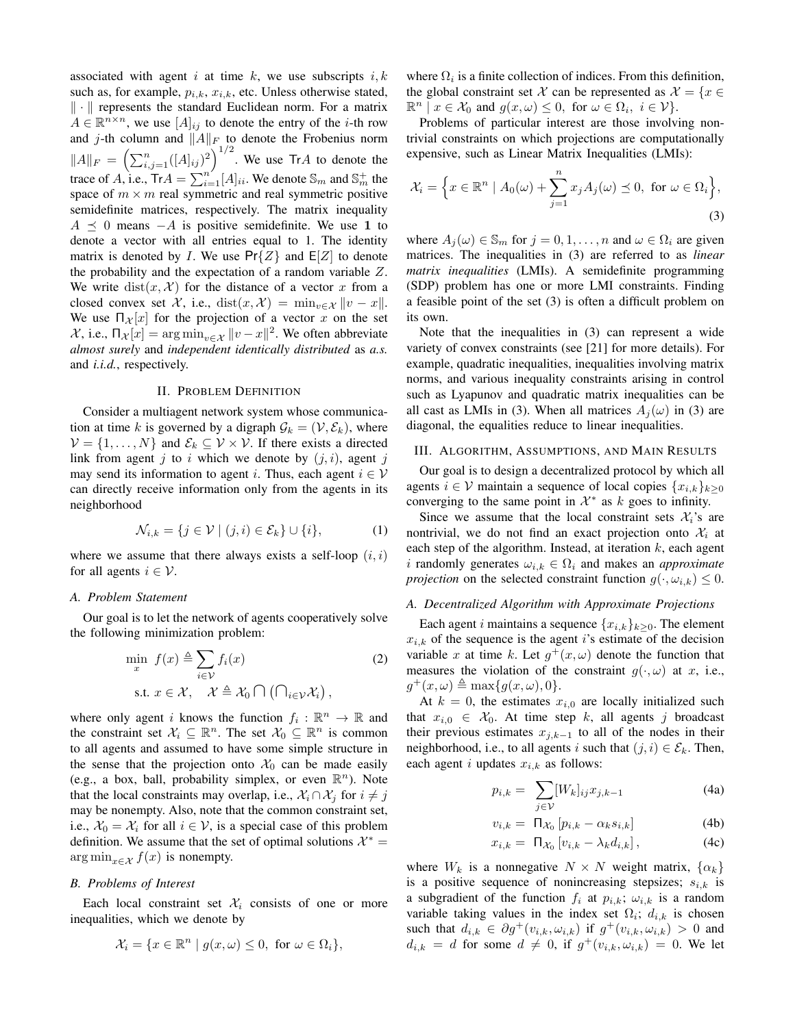associated with agent i at time  $k$ , we use subscripts  $i, k$ such as, for example,  $p_{i,k}$ ,  $x_{i,k}$ , etc. Unless otherwise stated,  $\|\cdot\|$  represents the standard Euclidean norm. For a matrix  $A \in \mathbb{R}^{n \times n}$ , we use  $[A]_{ij}$  to denote the entry of the *i*-th row and j-th column and  $||A||_F$  to denote the Frobenius norm  $||A||_F = \left(\sum_{i,j=1}^n ([A]_{ij})^2\right)^{1/2}$ . We use TrA to denote the trace of A, i.e.,  $Tr A = \sum_{i=1}^{n'} [A]_{ii}$ . We denote  $\mathbb{S}_m$  and  $\mathbb{S}_m^+$  the space of  $m \times m$  real symmetric and real symmetric positive semidefinite matrices, respectively. The matrix inequality  $A \prec 0$  means  $-A$  is positive semidefinite. We use 1 to denote a vector with all entries equal to 1. The identity matrix is denoted by *I*. We use  $Pr{Z}$  and  $E[Z]$  to denote the probability and the expectation of a random variable Z. We write  $dist(x, \mathcal{X})$  for the distance of a vector x from a closed convex set X, i.e., dist $(x, \mathcal{X}) = \min_{v \in \mathcal{X}} ||v - x||$ . We use  $\prod_{\mathcal{X}} [x]$  for the projection of a vector x on the set  $x$ , i.e., Π<sub> $x$ </sub>[ $x$ ] = arg min<sub>v∈  $x$ </sub>  $||v - x||^2$ . We often abbreviate *almost surely* and *independent identically distributed* as *a.s.* and *i.i.d.*, respectively.

#### II. PROBLEM DEFINITION

Consider a multiagent network system whose communication at time k is governed by a digraph  $\mathcal{G}_k = (\mathcal{V}, \mathcal{E}_k)$ , where  $V = \{1, \ldots, N\}$  and  $\mathcal{E}_k \subseteq V \times V$ . If there exists a directed link from agent j to i which we denote by  $(j, i)$ , agent j may send its information to agent i. Thus, each agent  $i \in V$ can directly receive information only from the agents in its neighborhood

$$
\mathcal{N}_{i,k} = \{ j \in \mathcal{V} \mid (j,i) \in \mathcal{E}_k \} \cup \{ i \},\tag{1}
$$

where we assume that there always exists a self-loop  $(i, i)$ for all agents  $i \in \mathcal{V}$ .

## *A. Problem Statement*

Our goal is to let the network of agents cooperatively solve the following minimization problem:

$$
\min_{x} f(x) \triangleq \sum_{i \in \mathcal{V}} f_i(x) \tag{2}
$$
\n
$$
\text{s.t. } x \in \mathcal{X}, \quad \mathcal{X} \triangleq \mathcal{X}_0 \cap (\bigcap_{i \in \mathcal{V}} \mathcal{X}_i),
$$

where only agent i knows the function  $f_i : \mathbb{R}^n \to \mathbb{R}$  and the constraint set  $\mathcal{X}_i \subseteq \mathbb{R}^n$ . The set  $\mathcal{X}_0 \subseteq \mathbb{R}^n$  is common to all agents and assumed to have some simple structure in the sense that the projection onto  $\mathcal{X}_0$  can be made easily (e.g., a box, ball, probability simplex, or even  $\mathbb{R}^n$ ). Note that the local constraints may overlap, i.e.,  $\mathcal{X}_i \cap \mathcal{X}_j$  for  $i \neq j$ may be nonempty. Also, note that the common constraint set, i.e.,  $X_0 = X_i$  for all  $i \in V$ , is a special case of this problem definition. We assume that the set of optimal solutions  $\mathcal{X}^* =$  $\arg \min_{x \in \mathcal{X}} f(x)$  is nonempty.

### *B. Problems of Interest*

Each local constraint set  $\mathcal{X}_i$  consists of one or more inequalities, which we denote by

$$
\mathcal{X}_i = \{ x \in \mathbb{R}^n \mid g(x,\omega) \le 0, \text{ for } \omega \in \Omega_i \},
$$

where  $\Omega_i$  is a finite collection of indices. From this definition, the global constraint set X can be represented as  $\mathcal{X} = \{x \in \mathcal{X}\}$  $\mathbb{R}^n \mid x \in \mathcal{X}_0$  and  $g(x,\omega) \leq 0$ , for  $\omega \in \Omega_i$ ,  $i \in \mathcal{V}$ .

Problems of particular interest are those involving nontrivial constraints on which projections are computationally expensive, such as Linear Matrix Inequalities (LMIs):

$$
\mathcal{X}_i = \left\{ x \in \mathbb{R}^n \mid A_0(\omega) + \sum_{j=1}^n x_j A_j(\omega) \preceq 0, \text{ for } \omega \in \Omega_i \right\},\tag{3}
$$

where  $A_j(\omega) \in \mathbb{S}_m$  for  $j = 0, 1, \dots, n$  and  $\omega \in \Omega_i$  are given matrices. The inequalities in (3) are referred to as *linear matrix inequalities* (LMIs). A semidefinite programming (SDP) problem has one or more LMI constraints. Finding a feasible point of the set (3) is often a difficult problem on its own.

Note that the inequalities in (3) can represent a wide variety of convex constraints (see [21] for more details). For example, quadratic inequalities, inequalities involving matrix norms, and various inequality constraints arising in control such as Lyapunov and quadratic matrix inequalities can be all cast as LMIs in (3). When all matrices  $A_i(\omega)$  in (3) are diagonal, the equalities reduce to linear inequalities.

#### III. ALGORITHM, ASSUMPTIONS, AND MAIN RESULTS

Our goal is to design a decentralized protocol by which all agents  $i \in V$  maintain a sequence of local copies  $\{x_{i,k}\}_{k\geq 0}$ converging to the same point in  $\mathcal{X}^*$  as k goes to infinity.

Since we assume that the local constraint sets  $\mathcal{X}_i$ 's are nontrivial, we do not find an exact projection onto  $\mathcal{X}_i$  at each step of the algorithm. Instead, at iteration  $k$ , each agent i randomly generates  $\omega_{i,k} \in \Omega_i$  and makes an *approximate projection* on the selected constraint function  $g(\cdot, \omega_{i,k}) \leq 0$ .

#### *A. Decentralized Algorithm with Approximate Projections*

Each agent *i* maintains a sequence  $\{x_{i,k}\}_{k\geq 0}$ . The element  $x_{i,k}$  of the sequence is the agent i's estimate of the decision variable x at time k. Let  $g^+(x,\omega)$  denote the function that measures the violation of the constraint  $g(\cdot, \omega)$  at x, i.e.,  $g^+(x,\omega) \triangleq \max\{g(x,\omega),0\}.$ 

At  $k = 0$ , the estimates  $x_{i,0}$  are locally initialized such that  $x_{i,0} \in \mathcal{X}_0$ . At time step k, all agents j broadcast their previous estimates  $x_{j,k-1}$  to all of the nodes in their neighborhood, i.e., to all agents i such that  $(j, i) \in \mathcal{E}_k$ . Then, each agent i updates  $x_{i,k}$  as follows:

$$
p_{i,k} = \sum_{j \in \mathcal{V}} [W_k]_{ij} x_{j,k-1} \tag{4a}
$$

$$
v_{i,k} = \Pi_{\mathcal{X}_0} \left[ p_{i,k} - \alpha_k s_{i,k} \right] \tag{4b}
$$

$$
x_{i,k} = \Pi_{\mathcal{X}_0} \left[ v_{i,k} - \lambda_k d_{i,k} \right], \tag{4c}
$$

where  $W_k$  is a nonnegative  $N \times N$  weight matrix,  $\{\alpha_k\}$ is a positive sequence of nonincreasing stepsizes;  $s_{i,k}$  is a subgradient of the function  $f_i$  at  $p_{i,k}$ ;  $\omega_{i,k}$  is a random variable taking values in the index set  $\Omega_i$ ;  $d_{i,k}$  is chosen such that  $d_{i,k} \in \partial g^+(v_{i,k}, \omega_{i,k})$  if  $g^+(v_{i,k}, \omega_{i,k}) > 0$  and  $d_{i,k} = d$  for some  $d \neq 0$ , if  $g^+(v_{i,k}, \omega_{i,k}) = 0$ . We let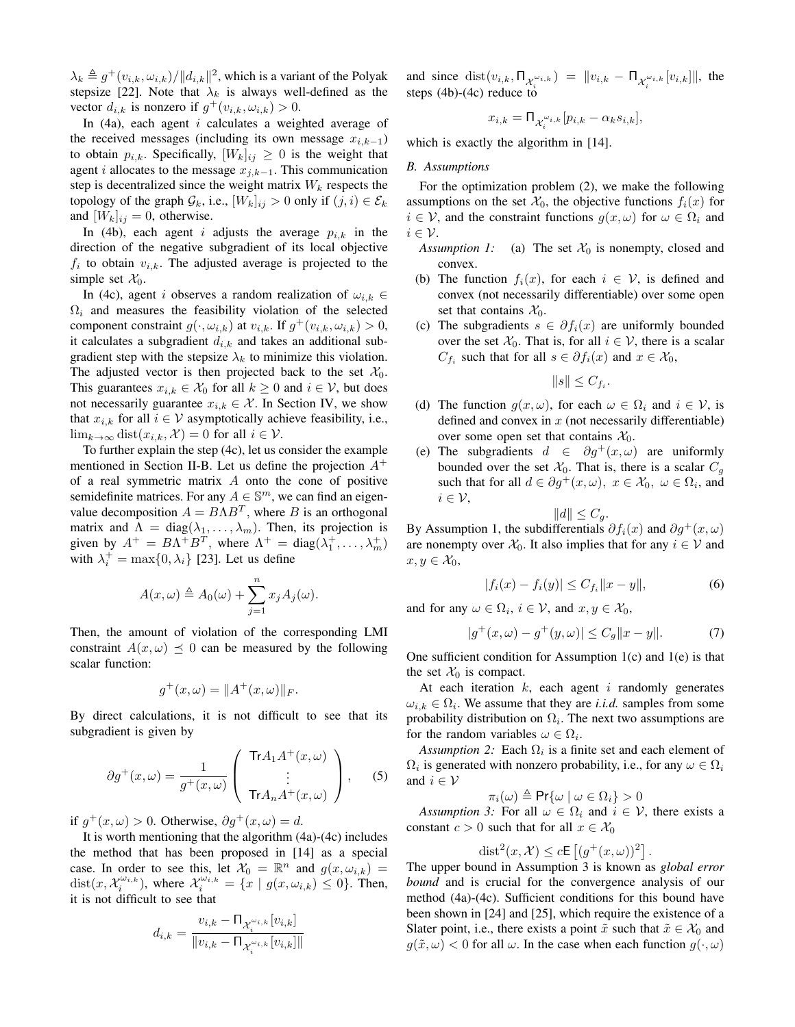$\lambda_k \triangleq g^+(v_{i,k}, \omega_{i,k})/||d_{i,k}||^2$ , which is a variant of the Polyak stepsize [22]. Note that  $\lambda_k$  is always well-defined as the vector  $d_{i,k}$  is nonzero if  $g^+(v_{i,k}, \omega_{i,k}) > 0$ .

In  $(4a)$ , each agent *i* calculates a weighted average of the received messages (including its own message  $x_{i,k-1}$ ) to obtain  $p_{i,k}$ . Specifically,  $[W_k]_{ij} \geq 0$  is the weight that agent *i* allocates to the message  $x_{j,k-1}$ . This communication step is decentralized since the weight matrix  $W_k$  respects the topology of the graph  $\mathcal{G}_k$ , i.e.,  $[W_k]_{ij} > 0$  only if  $(j, i) \in \mathcal{E}_k$ and  $[W_k]_{ij} = 0$ , otherwise.

In (4b), each agent i adjusts the average  $p_{i,k}$  in the direction of the negative subgradient of its local objective  $f_i$  to obtain  $v_{i,k}$ . The adjusted average is projected to the simple set  $\mathcal{X}_0$ .

In (4c), agent i observes a random realization of  $\omega_{i,k} \in$  $\Omega_i$  and measures the feasibility violation of the selected component constraint  $g(\cdot, \omega_{i,k})$  at  $v_{i,k}$ . If  $g^+(v_{i,k}, \omega_{i,k}) > 0$ , it calculates a subgradient  $d_{i,k}$  and takes an additional subgradient step with the stepsize  $\lambda_k$  to minimize this violation. The adjusted vector is then projected back to the set  $\mathcal{X}_0$ . This guarantees  $x_{i,k} \in \mathcal{X}_0$  for all  $k \geq 0$  and  $i \in \mathcal{V}$ , but does not necessarily guarantee  $x_{i,k} \in \mathcal{X}$ . In Section IV, we show that  $x_{i,k}$  for all  $i \in V$  asymptotically achieve feasibility, i.e.,  $\lim_{k\to\infty} \text{dist}(x_{i,k}, \mathcal{X}) = 0$  for all  $i \in \mathcal{V}$ .

To further explain the step (4c), let us consider the example mentioned in Section II-B. Let us define the projection  $A^+$ of a real symmetric matrix A onto the cone of positive semidefinite matrices. For any  $A \in \mathbb{S}^m$ , we can find an eigenvalue decomposition  $A = B\Lambda B^{T}$ , where B is an orthogonal matrix and  $\Lambda = \text{diag}(\lambda_1, \dots, \lambda_m)$ . Then, its projection is given by  $A^+ = BA^+B^T$ , where  $\Lambda^+ = \text{diag}(\lambda_1^+, \ldots, \lambda_m^+)$ with  $\lambda_i^+ = \max\{0, \lambda_i\}$  [23]. Let us define

$$
A(x,\omega) \triangleq A_0(\omega) + \sum_{j=1}^n x_j A_j(\omega).
$$

Then, the amount of violation of the corresponding LMI constraint  $A(x, \omega) \preceq 0$  can be measured by the following scalar function:

$$
g^+(x,\omega) = \|A^+(x,\omega)\|_F.
$$

By direct calculations, it is not difficult to see that its subgradient is given by

$$
\partial g^{+}(x,\omega) = \frac{1}{g^{+}(x,\omega)} \left( \begin{array}{c} \text{Tr}A_{1}A^{+}(x,\omega) \\ \vdots \\ \text{Tr}A_{n}A^{+}(x,\omega) \end{array} \right), \quad (5)
$$

if  $g^+(x,\omega) > 0$ . Otherwise,  $\partial g^+(x,\omega) = d$ .

It is worth mentioning that the algorithm (4a)-(4c) includes the method that has been proposed in [14] as a special case. In order to see this, let  $\mathcal{X}_0 = \mathbb{R}^n$  and  $g(x, \omega_{i,k}) =$ dist $(x, \mathcal{X}_i^{\omega_{i,k}})$ , where  $\mathcal{X}_i^{\omega_{i,k}} = \{x \mid g(x, \omega_{i,k}) \leq 0\}$ . Then, it is not difficult to see that

$$
d_{i,k} = \frac{v_{i,k} - \prod_{\chi_i^{\omega_{i,k}}}[v_{i,k}]}{\|v_{i,k} - \prod_{\chi_i^{\omega_{i,k}}}[v_{i,k}]\|}
$$

and since  $dist(v_{i,k}, \Pi_{\chi_i^{\omega_{i,k}}}) = ||v_{i,k} - \Pi_{\chi_i^{\omega_{i,k}}}[v_{i,k}]||$ , the steps (4b)-(4c) reduce to

$$
x_{i,k} = \prod_{\mathcal{X}_i^{\omega_{i,k}}}[p_{i,k} - \alpha_k s_{i,k}],
$$

which is exactly the algorithm in [14].

#### *B. Assumptions*

For the optimization problem (2), we make the following assumptions on the set  $\mathcal{X}_0$ , the objective functions  $f_i(x)$  for  $i \in \mathcal{V}$ , and the constraint functions  $g(x, \omega)$  for  $\omega \in \Omega_i$  and  $i \in \mathcal{V}$ .

- *Assumption 1:* (a) The set  $\mathcal{X}_0$  is nonempty, closed and convex.
- (b) The function  $f_i(x)$ , for each  $i \in \mathcal{V}$ , is defined and convex (not necessarily differentiable) over some open set that contains  $\mathcal{X}_0$ .
- (c) The subgradients  $s \in \partial f_i(x)$  are uniformly bounded over the set  $\mathcal{X}_0$ . That is, for all  $i \in \mathcal{V}$ , there is a scalar  $C_{f_i}$  such that for all  $s \in \partial f_i(x)$  and  $x \in \mathcal{X}_0$ ,

$$
||s|| \leq C_{f_i}
$$

.

- (d) The function  $g(x, \omega)$ , for each  $\omega \in \Omega_i$  and  $i \in \mathcal{V}$ , is defined and convex in  $x$  (not necessarily differentiable) over some open set that contains  $\mathcal{X}_0$ .
- (e) The subgradients  $d \in \partial g^+(x,\omega)$  are uniformly bounded over the set  $\mathcal{X}_0$ . That is, there is a scalar  $C_g$ such that for all  $d \in \partial g^+(x,\omega)$ ,  $x \in \mathcal{X}_0$ ,  $\omega \in \Omega_i$ , and  $i \in \mathcal{V}$ ,

$$
||d|| \leq C_g.
$$

By Assumption 1, the subdifferentials  $\partial f_i(x)$  and  $\partial g^+(x, \omega)$ are nonempty over  $\mathcal{X}_0$ . It also implies that for any  $i \in \mathcal{V}$  and  $x, y \in \mathcal{X}_0$ 

$$
|f_i(x) - f_i(y)| \le C_{f_i} ||x - y||, \tag{6}
$$

and for any  $\omega \in \Omega_i$ ,  $i \in \mathcal{V}$ , and  $x, y \in \mathcal{X}_0$ ,

$$
|g^+(x,\omega) - g^+(y,\omega)| \le C_g \|x - y\|.
$$
 (7)

One sufficient condition for Assumption  $1(c)$  and  $1(e)$  is that the set  $\mathcal{X}_0$  is compact.

At each iteration  $k$ , each agent  $i$  randomly generates  $\omega_{i,k} \in \Omega_i$ . We assume that they are *i.i.d.* samples from some probability distribution on  $\Omega_i$ . The next two assumptions are for the random variables  $\omega \in \Omega_i$ .

*Assumption 2:* Each  $\Omega_i$  is a finite set and each element of  $\Omega_i$  is generated with nonzero probability, i.e., for any  $\omega \in \Omega_i$ and  $i \in \mathcal{V}$ 

$$
\pi_i(\omega) \triangleq \Pr\{\omega \mid \omega \in \Omega_i\} > 0
$$

*Assumption 3:* For all  $\omega \in \Omega_i$  and  $i \in \mathcal{V}$ , there exists a constant  $c > 0$  such that for all  $x \in \mathcal{X}_0$ 

$$
\text{dist}^2(x,\mathcal{X}) \le c \mathsf{E}\left[ (g^+(x,\omega))^2 \right].
$$

The upper bound in Assumption 3 is known as *global error bound* and is crucial for the convergence analysis of our method (4a)-(4c). Sufficient conditions for this bound have been shown in [24] and [25], which require the existence of a Slater point, i.e., there exists a point  $\tilde{x}$  such that  $\tilde{x} \in \mathcal{X}_0$  and  $g(\tilde{x}, \omega) < 0$  for all  $\omega$ . In the case when each function  $g(\cdot, \omega)$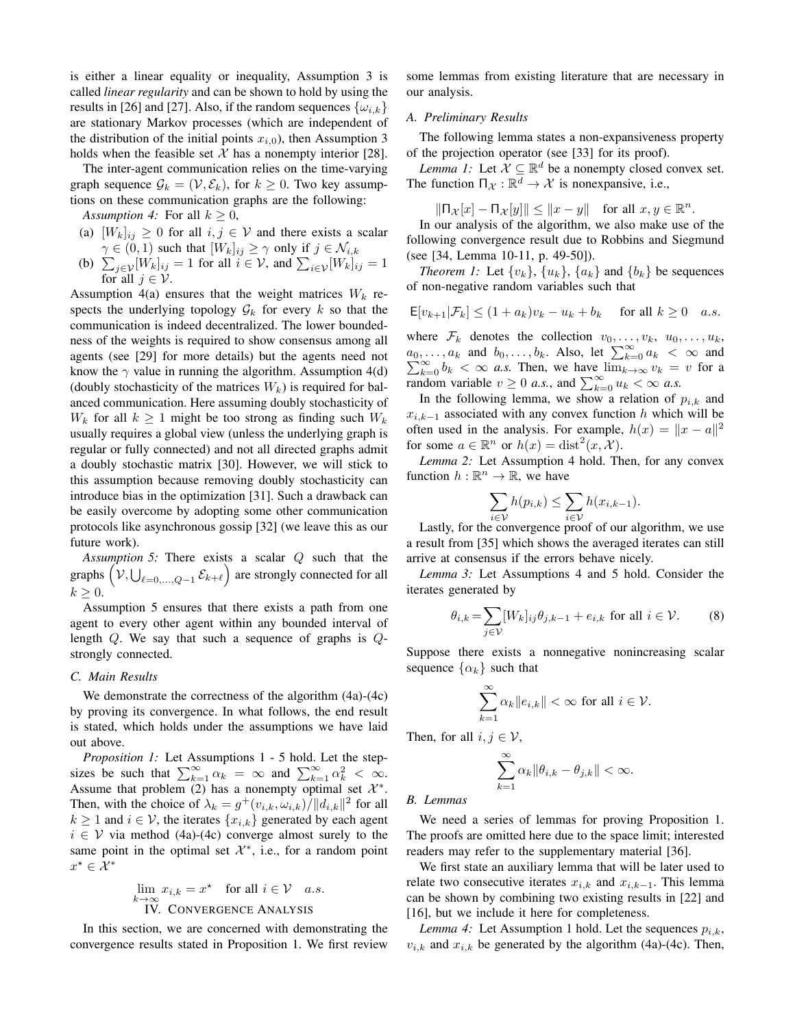is either a linear equality or inequality, Assumption 3 is called *linear regularity* and can be shown to hold by using the results in [26] and [27]. Also, if the random sequences  $\{\omega_{i,k}\}\$ are stationary Markov processes (which are independent of the distribution of the initial points  $x_{i,0}$ ), then Assumption 3 holds when the feasible set  $X$  has a nonempty interior [28].

The inter-agent communication relies on the time-varying graph sequence  $\mathcal{G}_k = (\mathcal{V}, \mathcal{E}_k)$ , for  $k \geq 0$ . Two key assumptions on these communication graphs are the following:

*Assumption 4:* For all  $k \geq 0$ ,

- (a)  $[W_k]_{ij} \geq 0$  for all  $i, j \in V$  and there exists a scalar  $\gamma \in (0,1)$  such that  $[W_k]_{ij} \geq \gamma$  only if  $j \in \mathcal{N}_{i,k}$
- (b)  $\sum_{j \in \mathcal{V}} [W_k]_{ij} = 1$  for all  $i \in \mathcal{V}$ , and  $\sum_{i \in \mathcal{V}} [W_k]_{ij} = 1$ for all  $j \in \mathcal{V}$ .

Assumption 4(a) ensures that the weight matrices  $W_k$  respects the underlying topology  $\mathcal{G}_k$  for every k so that the communication is indeed decentralized. The lower boundedness of the weights is required to show consensus among all agents (see [29] for more details) but the agents need not know the  $\gamma$  value in running the algorithm. Assumption 4(d) (doubly stochasticity of the matrices  $W_k$ ) is required for balanced communication. Here assuming doubly stochasticity of  $W_k$  for all  $k \geq 1$  might be too strong as finding such  $W_k$ usually requires a global view (unless the underlying graph is regular or fully connected) and not all directed graphs admit a doubly stochastic matrix [30]. However, we will stick to this assumption because removing doubly stochasticity can introduce bias in the optimization [31]. Such a drawback can be easily overcome by adopting some other communication protocols like asynchronous gossip [32] (we leave this as our future work).

*Assumption 5:* There exists a scalar Q such that the graphs  $(\mathcal{V}, \bigcup_{\ell=0,\dots,Q-1} \mathcal{E}_{k+\ell})$  are strongly connected for all  $k \geq 0$ .

Assumption 5 ensures that there exists a path from one agent to every other agent within any bounded interval of length Q. We say that such a sequence of graphs is Qstrongly connected.

#### *C. Main Results*

We demonstrate the correctness of the algorithm  $(4a)-(4c)$ by proving its convergence. In what follows, the end result is stated, which holds under the assumptions we have laid out above.

*Proposition 1:* Let Assumptions 1 - 5 hold. Let the stepsizes be such that  $\sum_{k=1}^{\infty} \alpha_k = \infty$  and  $\sum_{k=1}^{\infty} \alpha_k^2 < \infty$ . Assume that problem (2) has a nonempty optimal set  $\mathcal{X}^*$ . Then, with the choice of  $\lambda_k = g^+(v_{i,k}, \omega_{i,k})/||d_{i,k}||^2$  for all  $k \ge 1$  and  $i \in V$ , the iterates  $\{x_{i,k}\}\$  generated by each agent  $i \in V$  via method (4a)-(4c) converge almost surely to the same point in the optimal set  $\mathcal{X}^*$ , i.e., for a random point  $x^{\star} \in \mathcal{X}^*$ 

$$
\lim_{k \to \infty} x_{i,k} = x^* \quad \text{for all } i \in \mathcal{V} \quad a.s.
$$
  
IV. CONVERGENCE ANALYSIS

In this section, we are concerned with demonstrating the convergence results stated in Proposition 1. We first review some lemmas from existing literature that are necessary in our analysis.

#### *A. Preliminary Results*

The following lemma states a non-expansiveness property of the projection operator (see [33] for its proof).

*Lemma 1:* Let  $\mathcal{X} \subseteq \mathbb{R}^d$  be a nonempty closed convex set. The function  $\Pi_{\mathcal{X}} : \mathbb{R}^d \to \mathcal{X}$  is nonexpansive, i.e.,

$$
\|\Pi_{\mathcal{X}}[x] - \Pi_{\mathcal{X}}[y]\| \le \|x - y\| \quad \text{for all } x, y \in \mathbb{R}^n
$$

.

In our analysis of the algorithm, we also make use of the following convergence result due to Robbins and Siegmund (see [34, Lemma 10-11, p. 49-50]).

*Theorem 1:* Let  $\{v_k\}$ ,  $\{u_k\}$ ,  $\{a_k\}$  and  $\{b_k\}$  be sequences of non-negative random variables such that

$$
\mathsf{E}[v_{k+1}|\mathcal{F}_k] \le (1+a_k)v_k - u_k + b_k \quad \text{for all } k \ge 0 \quad a.s.
$$

where  $\mathcal{F}_k$  denotes the collection  $v_0, \ldots, v_k, u_0, \ldots, u_k$ ,  $a_0, \ldots, a_k$  and  $b_0, \ldots, b_k$ . Also, let  $\sum_{k=0}^{\infty} a_k < \infty$  and  $\sum_{k=0}^{\infty} b_k < \infty$  *a.s.* Then, we have  $\lim_{k\to\infty} v_k = v$  for a random variable  $v \ge 0$  *a.s.*, and  $\sum_{k=0}^{\infty} u_k < \infty$  *a.s.* 

In the following lemma, we show a relation of  $p_{i,k}$  and  $x_{i,k-1}$  associated with any convex function h which will be often used in the analysis. For example,  $h(x) = ||x - a||^2$ for some  $a \in \mathbb{R}^n$  or  $h(x) = \text{dist}^2(x, \mathcal{X})$ .

*Lemma 2:* Let Assumption 4 hold. Then, for any convex function  $h : \mathbb{R}^n \to \mathbb{R}$ , we have

$$
\sum_{i \in \mathcal{V}} h(p_{i,k}) \leq \sum_{i \in \mathcal{V}} h(x_{i,k-1}).
$$

Lastly, for the convergence proof of our algorithm, we use a result from [35] which shows the averaged iterates can still arrive at consensus if the errors behave nicely.

*Lemma 3:* Let Assumptions 4 and 5 hold. Consider the iterates generated by

$$
\theta_{i,k} = \sum_{j \in \mathcal{V}} [W_k]_{ij} \theta_{j,k-1} + e_{i,k} \text{ for all } i \in \mathcal{V}.
$$
 (8)

Suppose there exists a nonnegative nonincreasing scalar sequence  $\{\alpha_k\}$  such that

$$
\sum_{k=1}^{\infty} \alpha_k ||e_{i,k}|| < \infty \text{ for all } i \in \mathcal{V}.
$$

Then, for all  $i, j \in V$ ,

$$
\sum_{k=1}^\infty \alpha_k \|\theta_{i,k} - \theta_{j,k}\| < \infty.
$$

*B. Lemmas*

We need a series of lemmas for proving Proposition 1. The proofs are omitted here due to the space limit; interested readers may refer to the supplementary material [36].

We first state an auxiliary lemma that will be later used to relate two consecutive iterates  $x_{i,k}$  and  $x_{i,k-1}$ . This lemma can be shown by combining two existing results in [22] and [16], but we include it here for completeness.

*Lemma 4:* Let Assumption 1 hold. Let the sequences  $p_{i,k}$ ,  $v_{i,k}$  and  $x_{i,k}$  be generated by the algorithm (4a)-(4c). Then,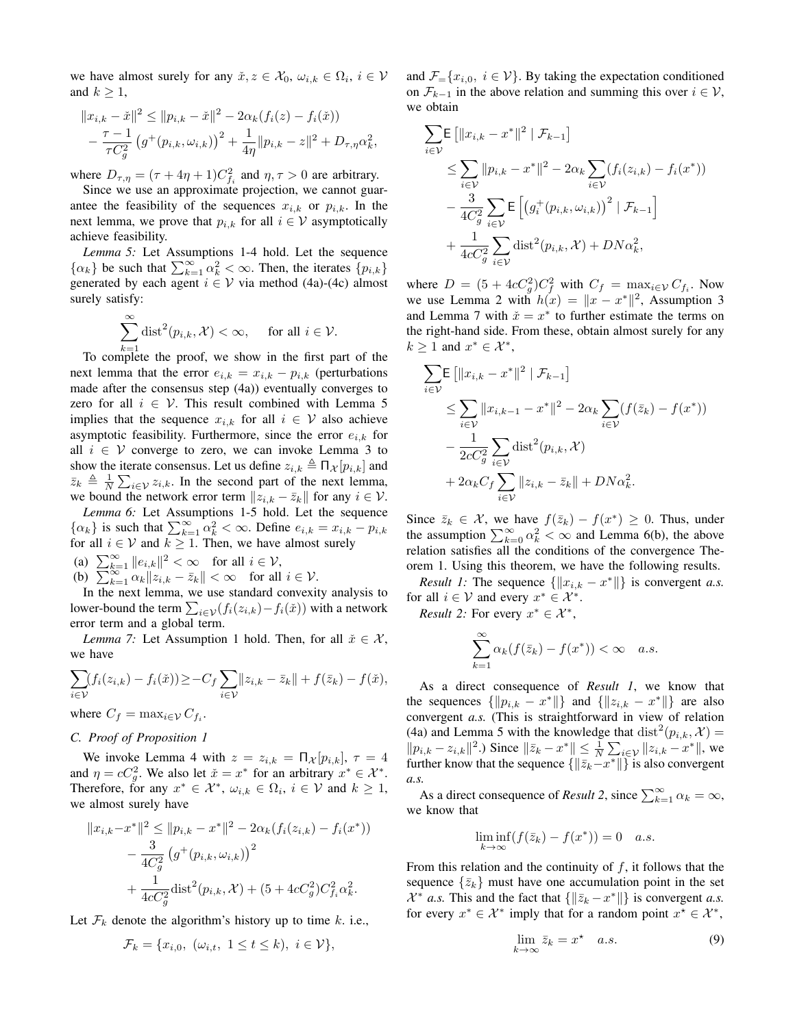we have almost surely for any  $\check{x}, z \in \mathcal{X}_0, \omega_{i,k} \in \Omega_i, i \in \mathcal{V}$ and  $k \geq 1$ ,

$$
||x_{i,k} - \tilde{x}||^2 \le ||p_{i,k} - \tilde{x}||^2 - 2\alpha_k(f_i(z) - f_i(\tilde{x}))
$$
  
- 
$$
\frac{\tau - 1}{\tau C_g^2} (g^+(p_{i,k}, \omega_{i,k}))^2 + \frac{1}{4\eta} ||p_{i,k} - z||^2 + D_{\tau, \eta} \alpha_k^2,
$$

where  $D_{\tau,\eta} = (\tau + 4\eta + 1)C_{f_i}^2$  and  $\eta, \tau > 0$  are arbitrary.

Since we use an approximate projection, we cannot guarantee the feasibility of the sequences  $x_{i,k}$  or  $p_{i,k}$ . In the next lemma, we prove that  $p_{i,k}$  for all  $i \in V$  asymptotically achieve feasibility.

*Lemma 5:* Let Assumptions 1-4 hold. Let the sequence  $\{\alpha_k\}$  be such that  $\sum_{k=1}^{\infty} \alpha_k^2 < \infty$ . Then, the iterates  $\{p_{i,k}\}\$ generated by each agent  $i \in V$  via method (4a)-(4c) almost surely satisfy:

$$
\sum_{k=1}^{\infty} \text{dist}^2(p_{i,k}, \mathcal{X}) < \infty, \quad \text{ for all } i \in \mathcal{V}.
$$

To complete the proof, we show in the first part of the next lemma that the error  $e_{i,k} = x_{i,k} - p_{i,k}$  (perturbations made after the consensus step (4a)) eventually converges to zero for all  $i \in V$ . This result combined with Lemma 5 implies that the sequence  $x_{i,k}$  for all  $i \in V$  also achieve asymptotic feasibility. Furthermore, since the error  $e_{i,k}$  for all  $i \in V$  converge to zero, we can invoke Lemma 3 to show the iterate consensus. Let us define  $z_{i,k} \triangleq \prod_{\mathcal{X}} [p_{i,k}]$  and  $\bar{z}_k \triangleq \frac{1}{N} \sum_{i \in \mathcal{V}} z_{i,k}$ . In the second part of the next lemma, we bound the network error term  $||z_{i,k} - \bar{z}_k||$  for any  $i \in \mathcal{V}$ .

*Lemma 6:* Let Assumptions 1-5 hold. Let the sequence  $\{\alpha_k\}$  is such that  $\sum_{k=1}^{\infty} \alpha_k^2 < \infty$ . Define  $e_{i,k} = x_{i,k} - p_{i,k}$ for all  $i \in V$  and  $k \geq 1$ . Then, we have almost surely (a)  $\sum_{k=1}^{\infty} ||e_{i,k}||^2 < \infty$  for all  $i \in \mathcal{V}$ ,

(b)  $\sum_{k=1}^{\infty} \frac{z}{\alpha_k} \Vert z_{i,k} - \bar{z}_k \Vert < \infty$  for all  $i \in \mathcal{V}$ .

In the next lemma, we use standard convexity analysis to lower-bound the term  $\sum_{i \in \mathcal{V}} (f_i(z_{i,k}) - f_i(\v{x}))$  with a network error term and a global term.

*Lemma 7:* Let Assumption 1 hold. Then, for all  $\check{x} \in \mathcal{X}$ , we have

$$
\sum_{i\in\mathcal{V}}(f_i(z_{i,k})-f_i(\check{x}))\geq -C_f\sum_{i\in\mathcal{V}}\|z_{i,k}-\bar{z}_k\|+f(\bar{z}_k)-f(\check{x}),
$$

where  $C_f = \max_{i \in \mathcal{V}} C_{f_i}$ .

## *C. Proof of Proposition 1*

We invoke Lemma 4 with  $z = z_{i,k} = \prod_{\mathcal{X}} [p_{i,k}], \tau = 4$ and  $\eta = cC_g^2$ . We also let  $\check{x} = x^*$  for an arbitrary  $x^* \in \mathcal{X}^*$ . Therefore, for any  $x^* \in \mathcal{X}^*$ ,  $\omega_{i,k} \in \Omega_i$ ,  $i \in \mathcal{V}$  and  $k \geq 1$ , we almost surely have

$$
||x_{i,k} - x^*||^2 \le ||p_{i,k} - x^*||^2 - 2\alpha_k(f_i(z_{i,k}) - f_i(x^*))
$$
  

$$
- \frac{3}{4C_g^2} (g^+(p_{i,k}, \omega_{i,k}))^2
$$
  

$$
+ \frac{1}{4cC_g^2} \text{dist}^2(p_{i,k}, \mathcal{X}) + (5 + 4cC_g^2)C_{fi}^2 \alpha_k^2.
$$

Let  $\mathcal{F}_k$  denote the algorithm's history up to time k. i.e.,

$$
\mathcal{F}_k = \{x_{i,0}, \ (\omega_{i,t}, \ 1 \le t \le k), \ i \in \mathcal{V}\},\
$$

and  $\mathcal{F}_{=}\{x_{i,0}, i \in \mathcal{V}\}\.$  By taking the expectation conditioned on  $\mathcal{F}_{k-1}$  in the above relation and summing this over  $i \in \mathcal{V}$ , we obtain

$$
\sum_{i \in \mathcal{V}} \mathsf{E} \left[ \|x_{i,k} - x^*\|^2 \, \big| \, \mathcal{F}_{k-1} \right] \n\leq \sum_{i \in \mathcal{V}} \|p_{i,k} - x^*\|^2 - 2\alpha_k \sum_{i \in \mathcal{V}} (f_i(z_{i,k}) - f_i(x^*)) \n- \frac{3}{4C_g^2} \sum_{i \in \mathcal{V}} \mathsf{E} \left[ \left( g_i^+(p_{i,k}, \omega_{i,k}) \right)^2 \, \big| \, \mathcal{F}_{k-1} \right] \n+ \frac{1}{4cC_g^2} \sum_{i \in \mathcal{V}} \text{dist}^2(p_{i,k}, \mathcal{X}) + DN\alpha_k^2,
$$

where  $D = (5 + 4cC_g^2)C_f^2$  with  $C_f = \max_{i \in \mathcal{V}} C_{f_i}$ . Now we use Lemma 2 with  $h(x) = ||x - x^*||^2$ , Assumption 3 and Lemma 7 with  $\tilde{x} = x^*$  to further estimate the terms on the right-hand side. From these, obtain almost surely for any  $k \geq 1$  and  $x^* \in \mathcal{X}^*$ ,

$$
\sum_{i \in \mathcal{V}} \mathsf{E} \left[ \|x_{i,k} - x^*\|^2 \, | \, \mathcal{F}_{k-1} \right] \n\leq \sum_{i \in \mathcal{V}} \|x_{i,k-1} - x^*\|^2 - 2\alpha_k \sum_{i \in \mathcal{V}} (f(\bar{z}_k) - f(x^*)) \n- \frac{1}{2cC_g^2} \sum_{i \in \mathcal{V}} \text{dist}^2(p_{i,k}, \mathcal{X}) \n+ 2\alpha_k C_f \sum_{i \in \mathcal{V}} \|z_{i,k} - \bar{z}_k\| + D N \alpha_k^2.
$$

Since  $\bar{z}_k \in \mathcal{X}$ , we have  $f(\bar{z}_k) - f(x^*) \geq 0$ . Thus, under the assumption  $\sum_{k=0}^{\infty} \alpha_k^2 < \infty$  and Lemma 6(b), the above relation satisfies all the conditions of the convergence Theorem 1. Using this theorem, we have the following results.

*Result 1:* The sequence  $\{\Vert x_{i,k} - x^* \Vert\}$  is convergent *a.s.* for all  $i \in V$  and every  $x^* \in \mathcal{X}^*$ .

*Result 2:* For every  $x^* \in \mathcal{X}^*$ ,

$$
\sum_{k=1}^{\infty} \alpha_k (f(\bar{z}_k) - f(x^*)) < \infty \quad a.s.
$$

As a direct consequence of *Result 1*, we know that the sequences  $\{\Vert p_{i,k} - x^* \Vert\}$  and  $\{\Vert z_{i,k} - x^* \Vert\}$  are also convergent *a.s.* (This is straightforward in view of relation (4a) and Lemma 5 with the knowledge that  $dist^2(p_{i,k}, \mathcal{X}) =$  $||p_{i,k} - z_{i,k}||^2$ .) Since  $||\bar{z}_k - x^*|| \leq \frac{1}{N} \sum_{i \in \mathcal{V}} ||z_{i,k} - x^*||$ , we further know that the sequence  $\{\|\bar{z}_k-x^*\|\}$  is also convergent *a.s.*

As a direct consequence of *Result 2*, since  $\sum_{k=1}^{\infty} \alpha_k = \infty$ , we know that

$$
\liminf_{k \to \infty} (f(\bar{z}_k) - f(x^*)) = 0 \quad a.s.
$$

From this relation and the continuity of  $f$ , it follows that the sequence  $\{\bar{z}_k\}$  must have one accumulation point in the set  $\mathcal{X}^*$  *a.s.* This and the fact that  $\{\|\bar{z}_k - x^*\|\}$  is convergent *a.s.* for every  $x^* \in \mathcal{X}^*$  imply that for a random point  $x^* \in \mathcal{X}^*$ ,

$$
\lim_{k \to \infty} \bar{z}_k = x^* \quad a.s. \tag{9}
$$